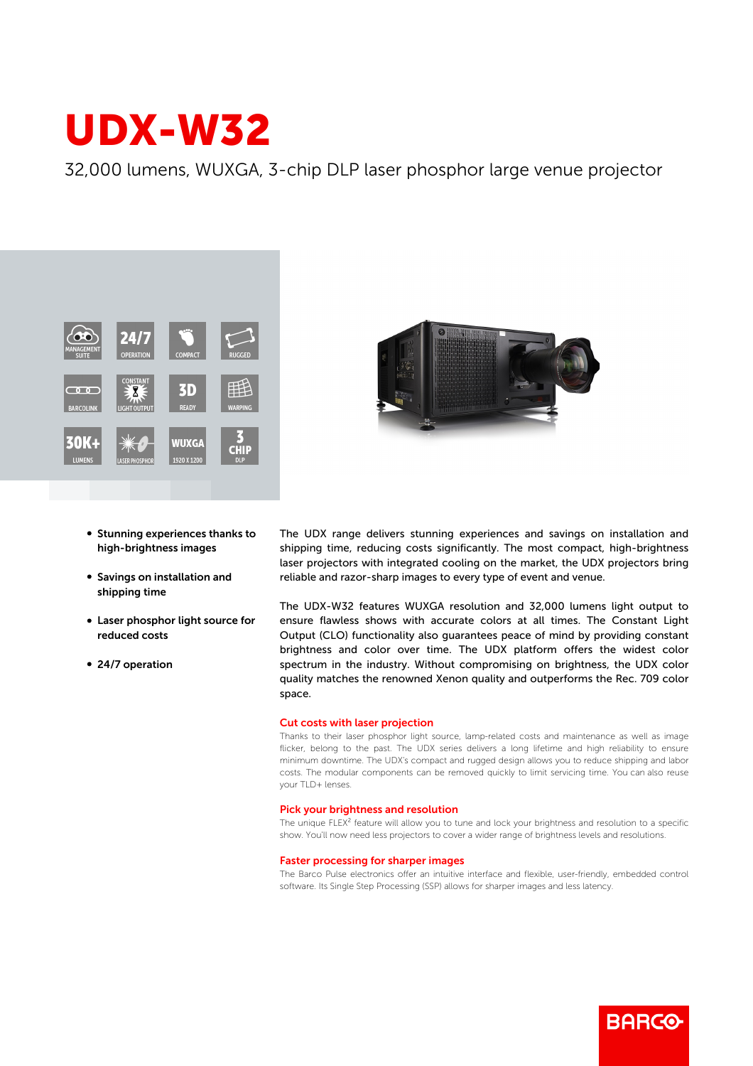# UDX-W32

32,000 lumens, WUXGA, 3-chip DLP laser phosphor large venue projector



- **Stunning experiences thanks to** high-brightness images
- **Savings on installation and** shipping time
- Laser phosphor light source for reduced costs
- 24/7 operation



The UDX range delivers stunning experiences and savings on installation and shipping time, reducing costs significantly. The most compact, high-brightness laser projectors with integrated cooling on the market, the UDX projectors bring reliable and razor-sharp images to every type of event and venue.

The UDX-W32 features WUXGA resolution and 32,000 lumens light output to ensure flawless shows with accurate colors at all times. The Constant Light Output (CLO) functionality also guarantees peace of mind by providing constant brightness and color over time. The UDX platform offers the widest color spectrum in the industry. Without compromising on brightness, the UDX color quality matches the renowned Xenon quality and outperforms the Rec. 709 color space.

#### Cut costs with laser projection

Thanks to their laser phosphor light source, lamp-related costs and maintenance as well as image flicker, belong to the past. The UDX series delivers a long lifetime and high reliability to ensure minimum downtime. The UDX's compact and rugged design allows you to reduce shipping and labor costs. The modular components can be removed quickly to limit servicing time. You can also reuse your TLD+ lenses.

#### Pick your brightness and resolution

The unique FLEX<sup>2</sup> feature will allow you to tune and lock your brightness and resolution to a specific show. You'll now need less projectors to cover a wider range of brightness levels and resolutions.

## Faster processing for sharper images

The Barco Pulse electronics offer an intuitive interface and flexible, user-friendly, embedded control software. Its Single Step Processing (SSP) allows for sharper images and less latency.

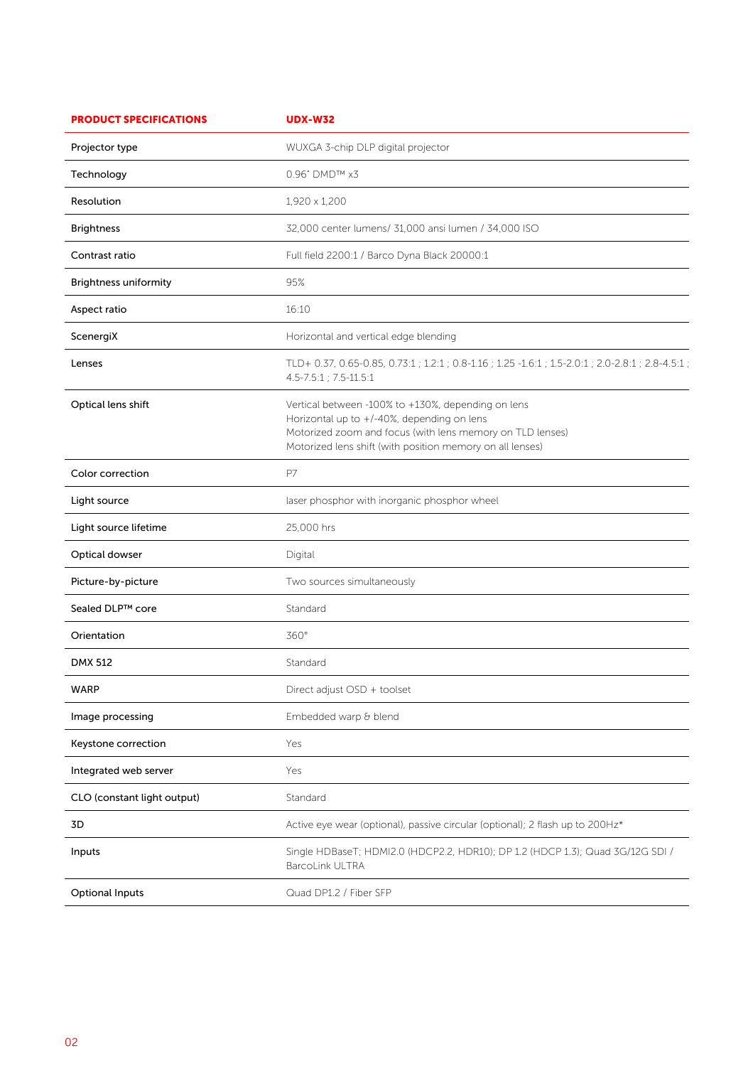| <b>PRODUCT SPECIFICATIONS</b> | <b>UDX-W32</b>                                                                                                                                                                                                             |
|-------------------------------|----------------------------------------------------------------------------------------------------------------------------------------------------------------------------------------------------------------------------|
| Projector type                | WUXGA 3-chip DLP digital projector                                                                                                                                                                                         |
| Technology                    | 0.96" DMD™ x3                                                                                                                                                                                                              |
| Resolution                    | 1,920 x 1,200                                                                                                                                                                                                              |
| <b>Brightness</b>             | 32,000 center lumens/ 31,000 ansi lumen / 34,000 ISO                                                                                                                                                                       |
| Contrast ratio                | Full field 2200:1 / Barco Dyna Black 20000:1                                                                                                                                                                               |
| <b>Brightness uniformity</b>  | 95%                                                                                                                                                                                                                        |
| Aspect ratio                  | 16:10                                                                                                                                                                                                                      |
| ScenergiX                     | Horizontal and vertical edge blending                                                                                                                                                                                      |
| Lenses                        | TLD+ 0.37, 0.65-0.85, 0.73:1 ; 1.2:1 ; 0.8-1.16 ; 1.25 -1.6:1 ; 1.5-2.0:1 ; 2.0-2.8:1 ; 2.8-4.5:1 ;<br>4.5-7.5:1 ; 7.5-11.5:1                                                                                              |
| Optical lens shift            | Vertical between -100% to +130%, depending on lens<br>Horizontal up to +/-40%, depending on lens<br>Motorized zoom and focus (with lens memory on TLD lenses)<br>Motorized lens shift (with position memory on all lenses) |
| Color correction              | P7                                                                                                                                                                                                                         |
| Light source                  | laser phosphor with inorganic phosphor wheel                                                                                                                                                                               |
| Light source lifetime         | 25,000 hrs                                                                                                                                                                                                                 |
| Optical dowser                | Digital                                                                                                                                                                                                                    |
| Picture-by-picture            | Two sources simultaneously                                                                                                                                                                                                 |
| Sealed DLP™ core              | Standard                                                                                                                                                                                                                   |
| Orientation                   | 360°                                                                                                                                                                                                                       |
| DMX 512                       | Standard                                                                                                                                                                                                                   |
| <b>WARP</b>                   | Direct adjust OSD + toolset                                                                                                                                                                                                |
| Image processing              | Embedded warp & blend                                                                                                                                                                                                      |
| Keystone correction           | Yes                                                                                                                                                                                                                        |
| Integrated web server         | Yes                                                                                                                                                                                                                        |
| CLO (constant light output)   | Standard                                                                                                                                                                                                                   |
| 3D                            | Active eye wear (optional), passive circular (optional); 2 flash up to 200Hz*                                                                                                                                              |
| Inputs                        | Single HDBaseT; HDMI2.0 (HDCP2.2, HDR10); DP 1.2 (HDCP 1.3); Quad 3G/12G SDI /<br><b>BarcoLink ULTRA</b>                                                                                                                   |
| <b>Optional Inputs</b>        | Quad DP1.2 / Fiber SFP                                                                                                                                                                                                     |